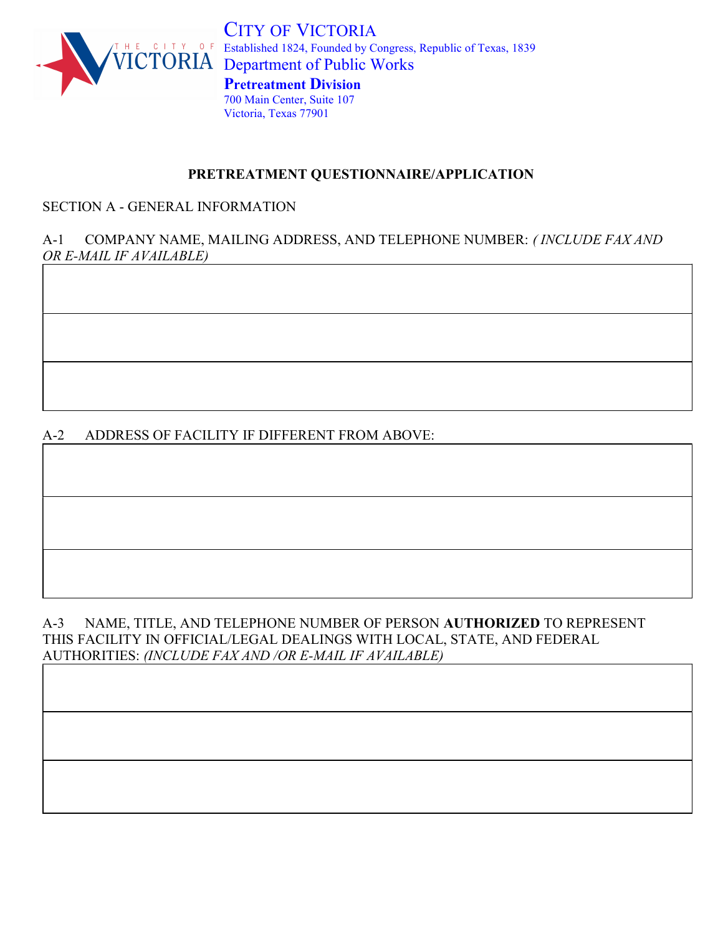

CITY OF VICTORIA <sup>O</sup>F Established 1824, Founded by Congress, Republic of Texas, 1839 VICTORIA Department of Public Works Pretreatment Division 700 Main Center, Suite 107 Victoria, Texas 77901

## PRETREATMENT QUESTIONNAIRE/APPLICATION

## SECTION A - GENERAL INFORMATION

## A-1 COMPANY NAME, MAILING ADDRESS, AND TELEPHONE NUMBER: (INCLUDE FAX AND OR E-MAIL IF AVAILABLE)

## A-2 ADDRESS OF FACILITY IF DIFFERENT FROM ABOVE:

#### A-3 NAME, TITLE, AND TELEPHONE NUMBER OF PERSON AUTHORIZED TO REPRESENT THIS FACILITY IN OFFICIAL/LEGAL DEALINGS WITH LOCAL, STATE, AND FEDERAL AUTHORITIES: (INCLUDE FAX AND /OR E-MAIL IF AVAILABLE)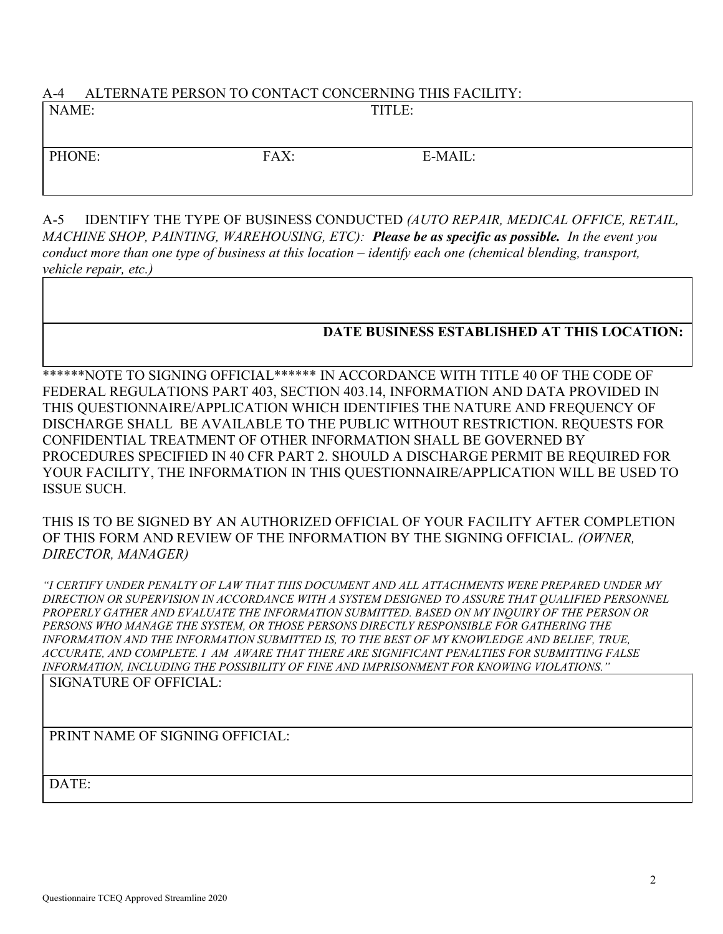## A-4 ALTERNATE PERSON TO CONTACT CONCERNING THIS FACILITY:

| NAME:  |      | TITLE:  |  |
|--------|------|---------|--|
|        |      |         |  |
| PHONE: | FAX: | E-MAIL: |  |
|        |      |         |  |

A-5 IDENTIFY THE TYPE OF BUSINESS CONDUCTED (AUTO REPAIR, MEDICAL OFFICE, RETAIL, MACHINE SHOP, PAINTING, WAREHOUSING, ETC): Please be as specific as possible. In the event you conduct more than one type of business at this location – identify each one (chemical blending, transport, vehicle repair, etc.)

## DATE BUSINESS ESTABLISHED AT THIS LOCATION:

\*\*\*\*\*\*NOTE TO SIGNING OFFICIAL\*\*\*\*\*\* IN ACCORDANCE WITH TITLE 40 OF THE CODE OF FEDERAL REGULATIONS PART 403, SECTION 403.14, INFORMATION AND DATA PROVIDED IN THIS QUESTIONNAIRE/APPLICATION WHICH IDENTIFIES THE NATURE AND FREQUENCY OF DISCHARGE SHALL BE AVAILABLE TO THE PUBLIC WITHOUT RESTRICTION. REQUESTS FOR CONFIDENTIAL TREATMENT OF OTHER INFORMATION SHALL BE GOVERNED BY PROCEDURES SPECIFIED IN 40 CFR PART 2. SHOULD A DISCHARGE PERMIT BE REQUIRED FOR YOUR FACILITY, THE INFORMATION IN THIS QUESTIONNAIRE/APPLICATION WILL BE USED TO ISSUE SUCH.

THIS IS TO BE SIGNED BY AN AUTHORIZED OFFICIAL OF YOUR FACILITY AFTER COMPLETION OF THIS FORM AND REVIEW OF THE INFORMATION BY THE SIGNING OFFICIAL. (OWNER, DIRECTOR, MANAGER)

"I CERTIFY UNDER PENALTY OF LAW THAT THIS DOCUMENT AND ALL ATTACHMENTS WERE PREPARED UNDER MY DIRECTION OR SUPERVISION IN ACCORDANCE WITH A SYSTEM DESIGNED TO ASSURE THAT QUALIFIED PERSONNEL PROPERLY GATHER AND EVALUATE THE INFORMATION SUBMITTED. BASED ON MY INQUIRY OF THE PERSON OR PERSONS WHO MANAGE THE SYSTEM, OR THOSE PERSONS DIRECTLY RESPONSIBLE FOR GATHERING THE INFORMATION AND THE INFORMATION SUBMITTED IS, TO THE BEST OF MY KNOWLEDGE AND BELIEF, TRUE, ACCURATE, AND COMPLETE. I AM AWARE THAT THERE ARE SIGNIFICANT PENALTIES FOR SUBMITTING FALSE INFORMATION, INCLUDING THE POSSIBILITY OF FINE AND IMPRISONMENT FOR KNOWING VIOLATIONS."

SIGNATURE OF OFFICIAL:

PRINT NAME OF SIGNING OFFICIAL:

DATE: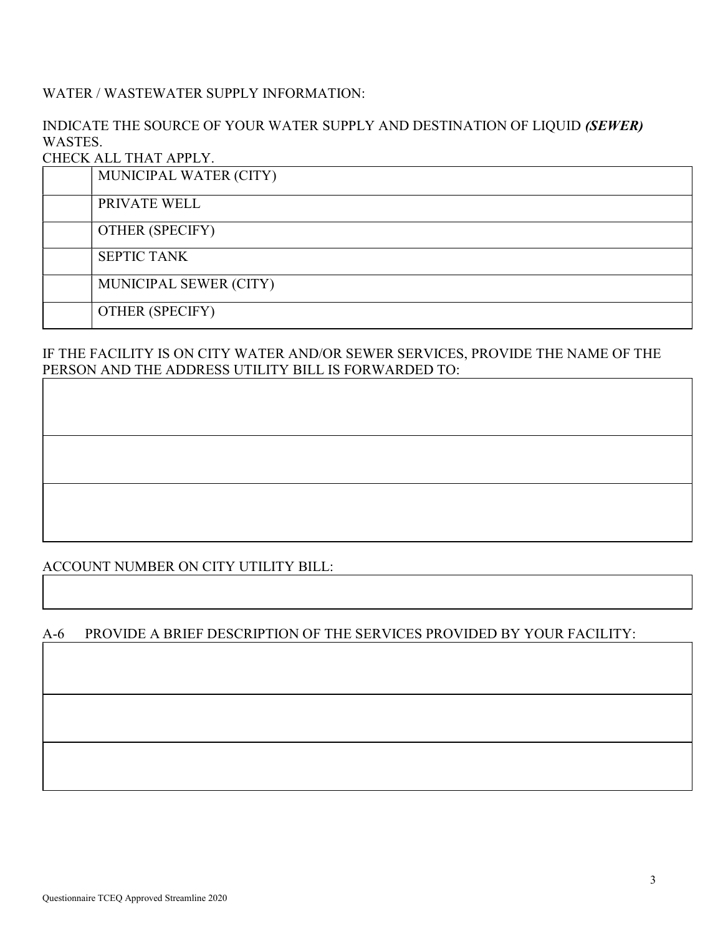## WATER / WASTEWATER SUPPLY INFORMATION:

## INDICATE THE SOURCE OF YOUR WATER SUPPLY AND DESTINATION OF LIQUID (SEWER) WASTES.

#### CHECK ALL THAT APPLY.

| MUNICIPAL WATER (CITY) |
|------------------------|
| PRIVATE WELL           |
| <b>OTHER (SPECIFY)</b> |
| <b>SEPTIC TANK</b>     |
| MUNICIPAL SEWER (CITY) |
| <b>OTHER (SPECIFY)</b> |

#### IF THE FACILITY IS ON CITY WATER AND/OR SEWER SERVICES, PROVIDE THE NAME OF THE PERSON AND THE ADDRESS UTILITY BILL IS FORWARDED TO:

## ACCOUNT NUMBER ON CITY UTILITY BILL:

#### A-6 PROVIDE A BRIEF DESCRIPTION OF THE SERVICES PROVIDED BY YOUR FACILITY: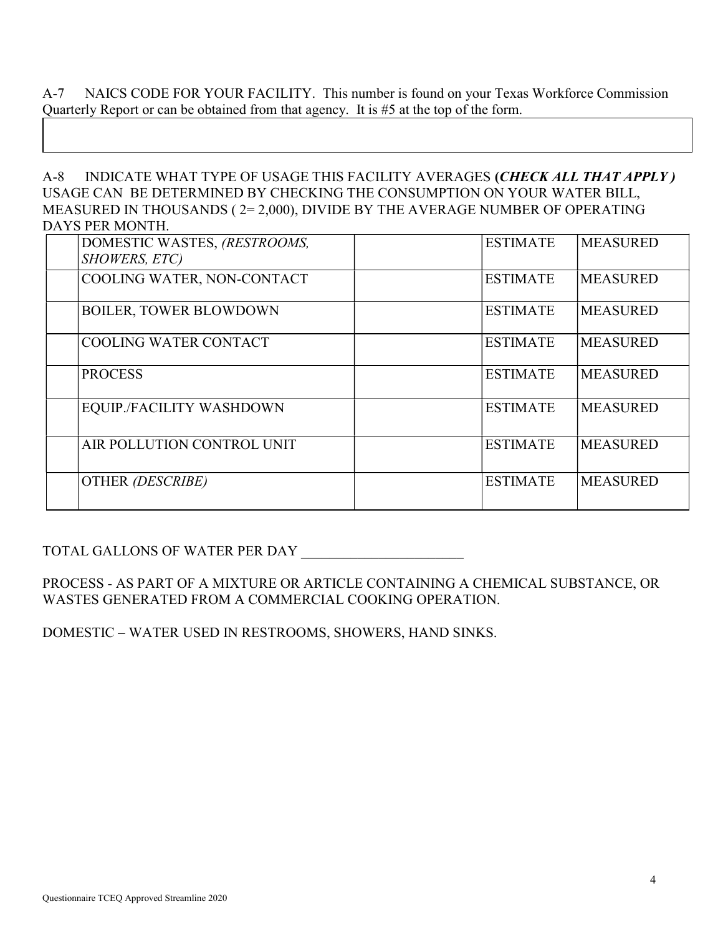A-7 NAICS CODE FOR YOUR FACILITY. This number is found on your Texas Workforce Commission Quarterly Report or can be obtained from that agency. It is #5 at the top of the form.

A-8 INDICATE WHAT TYPE OF USAGE THIS FACILITY AVERAGES (CHECK ALL THAT APPLY) USAGE CAN BE DETERMINED BY CHECKING THE CONSUMPTION ON YOUR WATER BILL, MEASURED IN THOUSANDS ( 2= 2,000), DIVIDE BY THE AVERAGE NUMBER OF OPERATING DAYS PER MONTH.

| DOMESTIC WASTES, (RESTROOMS,<br>SHOWERS, ETC) | <b>ESTIMATE</b> | <b>MEASURED</b> |
|-----------------------------------------------|-----------------|-----------------|
| COOLING WATER, NON-CONTACT                    | <b>ESTIMATE</b> | <b>MEASURED</b> |
| <b>BOILER, TOWER BLOWDOWN</b>                 | <b>ESTIMATE</b> | <b>MEASURED</b> |
| <b>COOLING WATER CONTACT</b>                  | <b>ESTIMATE</b> | <b>MEASURED</b> |
| <b>PROCESS</b>                                | <b>ESTIMATE</b> | <b>MEASURED</b> |
| EQUIP./FACILITY WASHDOWN                      | <b>ESTIMATE</b> | <b>MEASURED</b> |
| AIR POLLUTION CONTROL UNIT                    | <b>ESTIMATE</b> | <b>MEASURED</b> |
| OTHER (DESCRIBE)                              | <b>ESTIMATE</b> | <b>MEASURED</b> |

TOTAL GALLONS OF WATER PER DAY \_\_\_\_\_\_\_\_\_\_\_\_\_\_\_\_\_\_\_\_\_\_\_

PROCESS - AS PART OF A MIXTURE OR ARTICLE CONTAINING A CHEMICAL SUBSTANCE, OR WASTES GENERATED FROM A COMMERCIAL COOKING OPERATION.

DOMESTIC – WATER USED IN RESTROOMS, SHOWERS, HAND SINKS.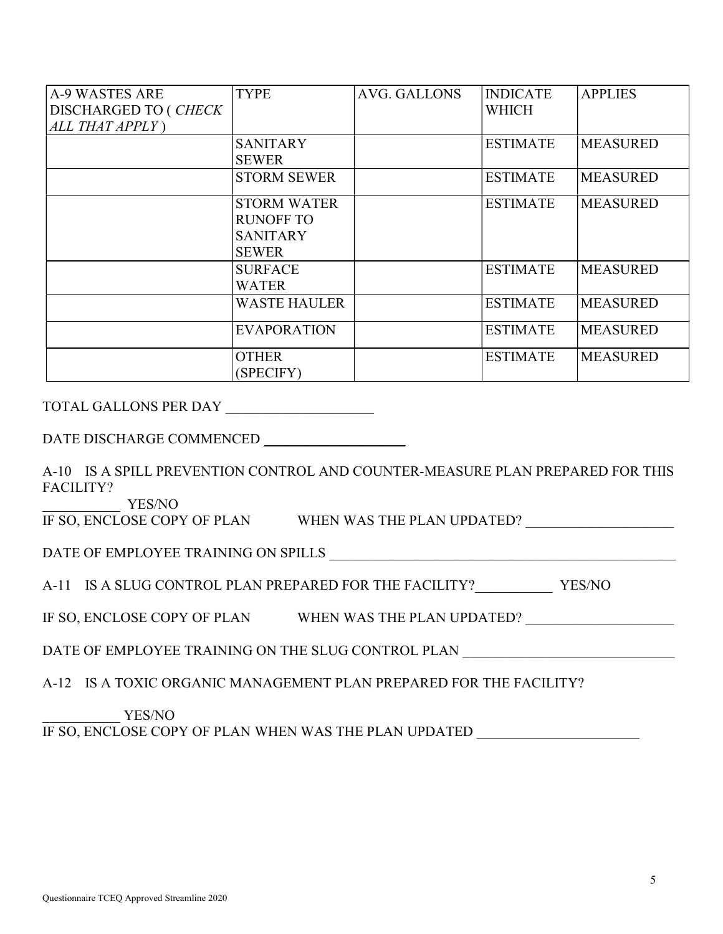| <b>A-9 WASTES ARE</b><br>DISCHARGED TO (CHECK | <b>TYPE</b>                     | AVG. GALLONS | <b>INDICATE</b><br>WHICH | <b>APPLIES</b>  |
|-----------------------------------------------|---------------------------------|--------------|--------------------------|-----------------|
| ALL THAT APPLY)                               |                                 |              |                          |                 |
|                                               | <b>SANITARY</b><br><b>SEWER</b> |              | <b>ESTIMATE</b>          | <b>MEASURED</b> |
|                                               | <b>STORM SEWER</b>              |              | <b>ESTIMATE</b>          | <b>MEASURED</b> |
|                                               | <b>STORM WATER</b>              |              | <b>ESTIMATE</b>          | <b>MEASURED</b> |
|                                               | <b>RUNOFF TO</b>                |              |                          |                 |
|                                               | <b>SANITARY</b>                 |              |                          |                 |
|                                               | <b>SEWER</b>                    |              |                          |                 |
|                                               | <b>SURFACE</b>                  |              | <b>ESTIMATE</b>          | <b>MEASURED</b> |
|                                               | WATER                           |              |                          |                 |
|                                               | <b>WASTE HAULER</b>             |              | <b>ESTIMATE</b>          | <b>MEASURED</b> |
|                                               | <b>EVAPORATION</b>              |              | <b>ESTIMATE</b>          | <b>MEASURED</b> |
|                                               | <b>OTHER</b><br>(SPECIFY)       |              | <b>ESTIMATE</b>          | <b>MEASURED</b> |

TOTAL GALLONS PER DAY

A-10 IS A SPILL PREVENTION CONTROL AND COUNTER-MEASURE PLAN PREPARED FOR THIS FACILITY?

\_\_\_\_\_\_\_\_\_\_\_ YES/NO

IF SO, ENCLOSE COPY OF PLAN WHEN WAS THE PLAN UPDATED?

DATE OF EMPLOYEE TRAINING ON SPILLS

A-11 IS A SLUG CONTROL PLAN PREPARED FOR THE FACILITY? YES/NO

IF SO, ENCLOSE COPY OF PLAN WHEN WAS THE PLAN UPDATED?

DATE OF EMPLOYEE TRAINING ON THE SLUG CONTROL PLAN

A-12 IS A TOXIC ORGANIC MANAGEMENT PLAN PREPARED FOR THE FACILITY?

#### YES/NO

IF SO, ENCLOSE COPY OF PLAN WHEN WAS THE PLAN UPDATED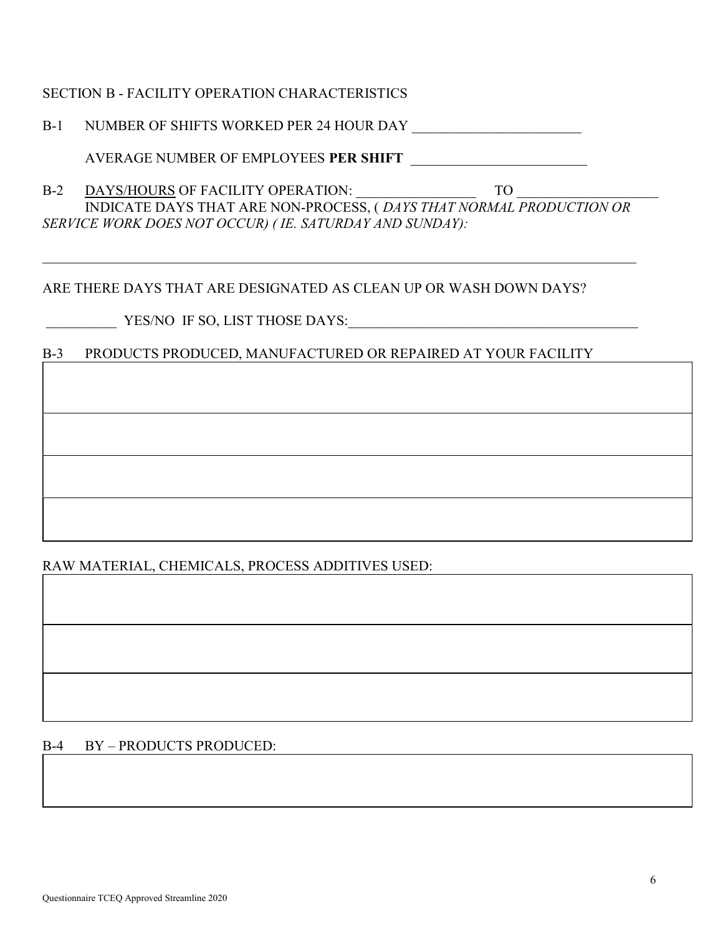## SECTION B - FACILITY OPERATION CHARACTERISTICS

B-1 NUMBER OF SHIFTS WORKED PER 24 HOUR DAY \_\_\_\_\_\_\_\_\_\_\_\_\_\_\_\_\_\_\_\_\_\_\_\_

AVERAGE NUMBER OF EMPLOYEES PER SHIFT

B-2 DAYS/HOURS OF FACILITY OPERATION:  $\qquad \qquad$  TO INDICATE DAYS THAT ARE NON-PROCESS, ( DAYS THAT NORMAL PRODUCTION OR SERVICE WORK DOES NOT OCCUR) ( IE. SATURDAY AND SUNDAY):

## ARE THERE DAYS THAT ARE DESIGNATED AS CLEAN UP OR WASH DOWN DAYS?

YES/NO IF SO, LIST THOSE DAYS:

## B-3 PRODUCTS PRODUCED, MANUFACTURED OR REPAIRED AT YOUR FACILITY

## RAW MATERIAL, CHEMICALS, PROCESS ADDITIVES USED:

## B-4 BY – PRODUCTS PRODUCED: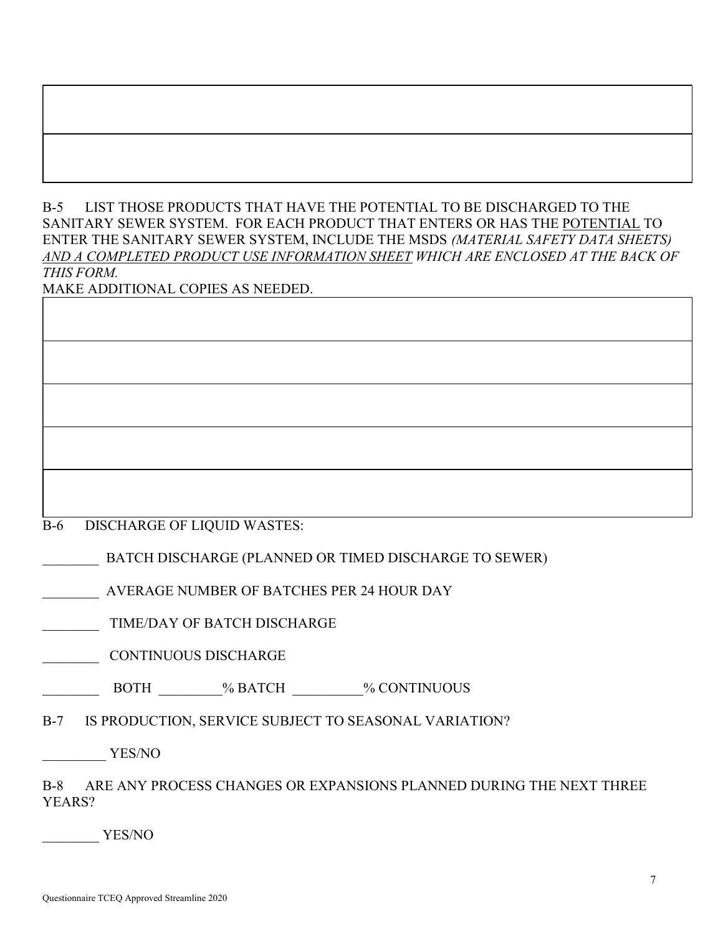# B-5 LIST THOSE PRODUCTS THAT HAVE THE POTENTIAL TO BE DISCHARGED TO THE SANITARY SEWER SYSTEM. FOR EACH PRODUCT THAT ENTERS OR HAS THE POTENTIAL TO

ENTER THE SANITARY SEWER SYSTEM, INCLUDE THE MSDS (MATERIAL SAFETY DATA SHEETS) AND A COMPLETED PRODUCT USE INFORMATION SHEET WHICH ARE ENCLOSED AT THE BACK OF THIS FORM.

| MAKE ADDITIONAL COPIES AS NEEDED. |  |
|-----------------------------------|--|
|                                   |  |
|                                   |  |
|                                   |  |
|                                   |  |
|                                   |  |
|                                   |  |
|                                   |  |
|                                   |  |
|                                   |  |
|                                   |  |
|                                   |  |
|                                   |  |
|                                   |  |

B-6 DISCHARGE OF LIQUID WASTES:

BATCH DISCHARGE (PLANNED OR TIMED DISCHARGE TO SEWER)

\_\_\_\_\_\_\_\_ AVERAGE NUMBER OF BATCHES PER 24 HOUR DAY

TIME/DAY OF BATCH DISCHARGE

\_\_\_\_\_\_\_\_ CONTINUOUS DISCHARGE

BOTH  $\%$  BATCH  $\%$  CONTINUOUS

B-7 IS PRODUCTION, SERVICE SUBJECT TO SEASONAL VARIATION?

\_\_\_\_\_\_\_\_\_ YES/NO

B-8 ARE ANY PROCESS CHANGES OR EXPANSIONS PLANNED DURING THE NEXT THREE YEARS?

YES/NO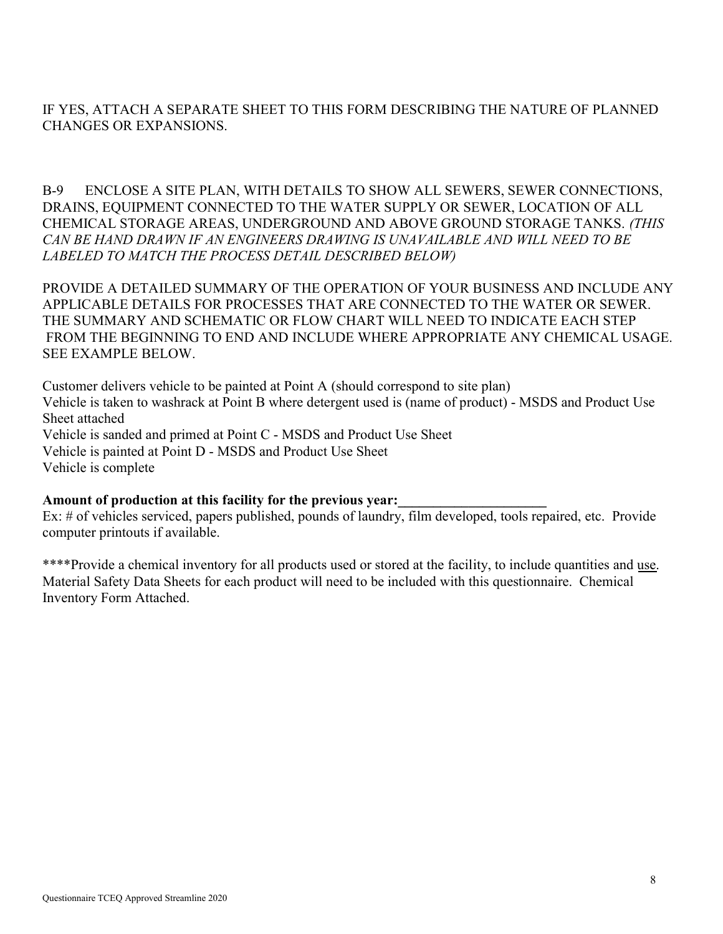## IF YES, ATTACH A SEPARATE SHEET TO THIS FORM DESCRIBING THE NATURE OF PLANNED CHANGES OR EXPANSIONS.

B-9 ENCLOSE A SITE PLAN, WITH DETAILS TO SHOW ALL SEWERS, SEWER CONNECTIONS, DRAINS, EQUIPMENT CONNECTED TO THE WATER SUPPLY OR SEWER, LOCATION OF ALL CHEMICAL STORAGE AREAS, UNDERGROUND AND ABOVE GROUND STORAGE TANKS. (THIS CAN BE HAND DRAWN IF AN ENGINEERS DRAWING IS UNAVAILABLE AND WILL NEED TO BE LABELED TO MATCH THE PROCESS DETAIL DESCRIBED BELOW)

PROVIDE A DETAILED SUMMARY OF THE OPERATION OF YOUR BUSINESS AND INCLUDE ANY APPLICABLE DETAILS FOR PROCESSES THAT ARE CONNECTED TO THE WATER OR SEWER. THE SUMMARY AND SCHEMATIC OR FLOW CHART WILL NEED TO INDICATE EACH STEP FROM THE BEGINNING TO END AND INCLUDE WHERE APPROPRIATE ANY CHEMICAL USAGE. SEE EXAMPLE BELOW.

Customer delivers vehicle to be painted at Point A (should correspond to site plan) Vehicle is taken to washrack at Point B where detergent used is (name of product) - MSDS and Product Use Sheet attached Vehicle is sanded and primed at Point C - MSDS and Product Use Sheet Vehicle is painted at Point D - MSDS and Product Use Sheet Vehicle is complete

#### Amount of production at this facility for the previous year:

Ex: # of vehicles serviced, papers published, pounds of laundry, film developed, tools repaired, etc. Provide computer printouts if available.

\*\*\*\*Provide a chemical inventory for all products used or stored at the facility, to include quantities and use. Material Safety Data Sheets for each product will need to be included with this questionnaire. Chemical Inventory Form Attached.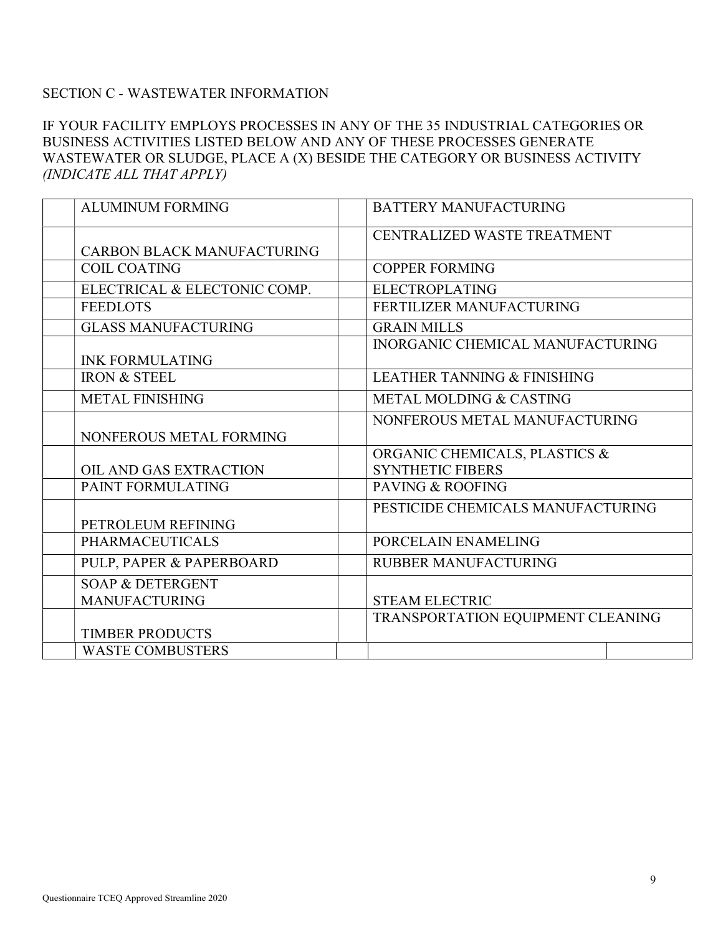## SECTION C - WASTEWATER INFORMATION

## IF YOUR FACILITY EMPLOYS PROCESSES IN ANY OF THE 35 INDUSTRIAL CATEGORIES OR BUSINESS ACTIVITIES LISTED BELOW AND ANY OF THESE PROCESSES GENERATE WASTEWATER OR SLUDGE, PLACE A (X) BESIDE THE CATEGORY OR BUSINESS ACTIVITY (INDICATE ALL THAT APPLY)

| <b>ALUMINUM FORMING</b>           | <b>BATTERY MANUFACTURING</b>           |
|-----------------------------------|----------------------------------------|
|                                   | CENTRALIZED WASTE TREATMENT            |
| <b>CARBON BLACK MANUFACTURING</b> |                                        |
| <b>COIL COATING</b>               | <b>COPPER FORMING</b>                  |
| ELECTRICAL & ELECTONIC COMP.      | <b>ELECTROPLATING</b>                  |
| <b>FEEDLOTS</b>                   | FERTILIZER MANUFACTURING               |
| <b>GLASS MANUFACTURING</b>        | <b>GRAIN MILLS</b>                     |
|                                   | INORGANIC CHEMICAL MANUFACTURING       |
| <b>INK FORMULATING</b>            |                                        |
| <b>IRON &amp; STEEL</b>           | <b>LEATHER TANNING &amp; FINISHING</b> |
| <b>METAL FINISHING</b>            | <b>METAL MOLDING &amp; CASTING</b>     |
|                                   | NONFEROUS METAL MANUFACTURING          |
| NONFEROUS METAL FORMING           |                                        |
|                                   | ORGANIC CHEMICALS, PLASTICS &          |
| OIL AND GAS EXTRACTION            | <b>SYNTHETIC FIBERS</b>                |
| PAINT FORMULATING                 | <b>PAVING &amp; ROOFING</b>            |
|                                   | PESTICIDE CHEMICALS MANUFACTURING      |
| PETROLEUM REFINING                |                                        |
| <b>PHARMACEUTICALS</b>            | PORCELAIN ENAMELING                    |
| PULP, PAPER & PAPERBOARD          | <b>RUBBER MANUFACTURING</b>            |
| <b>SOAP &amp; DETERGENT</b>       |                                        |
| <b>MANUFACTURING</b>              | <b>STEAM ELECTRIC</b>                  |
|                                   | TRANSPORTATION EQUIPMENT CLEANING      |
| <b>TIMBER PRODUCTS</b>            |                                        |
| <b>WASTE COMBUSTERS</b>           |                                        |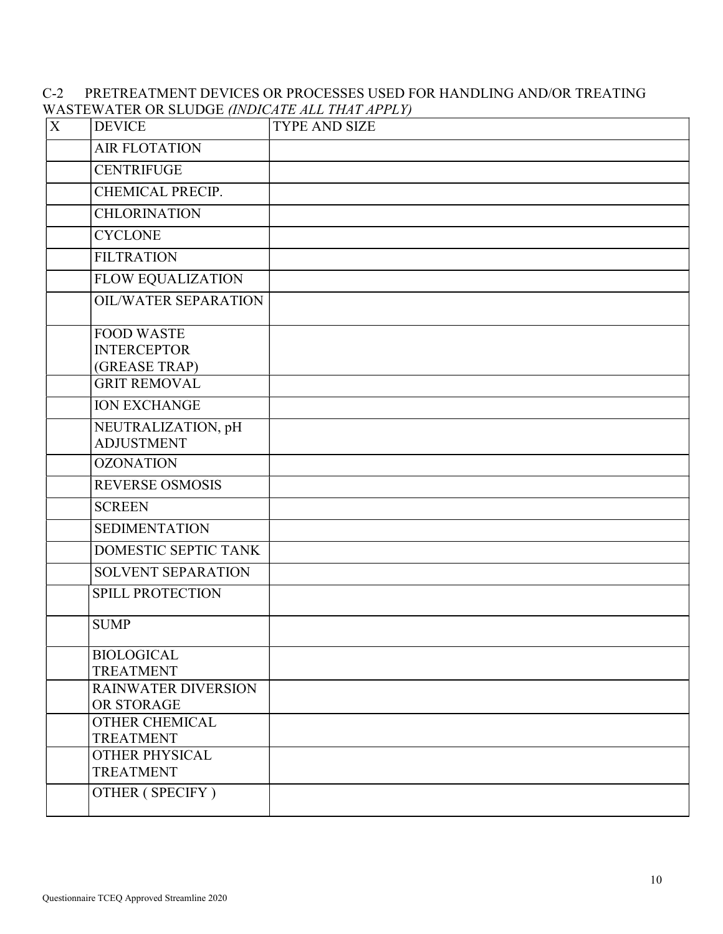## C-2 PRETREATMENT DEVICES OR PROCESSES USED FOR HANDLING AND/OR TREATING WASTEWATER OR SLUDGE (INDICATE ALL THAT APPLY)

| $\mathbf X$ | <b>DEVICE</b>                                            | <b>TYPE AND SIZE</b> |
|-------------|----------------------------------------------------------|----------------------|
|             | <b>AIR FLOTATION</b>                                     |                      |
|             | <b>CENTRIFUGE</b>                                        |                      |
|             | CHEMICAL PRECIP.                                         |                      |
|             | <b>CHLORINATION</b>                                      |                      |
|             | <b>CYCLONE</b>                                           |                      |
|             | <b>FILTRATION</b>                                        |                      |
|             | <b>FLOW EQUALIZATION</b>                                 |                      |
|             | <b>OIL/WATER SEPARATION</b>                              |                      |
|             | <b>FOOD WASTE</b><br><b>INTERCEPTOR</b><br>(GREASE TRAP) |                      |
|             | <b>GRIT REMOVAL</b>                                      |                      |
|             | <b>ION EXCHANGE</b>                                      |                      |
|             | NEUTRALIZATION, pH<br><b>ADJUSTMENT</b>                  |                      |
|             | <b>OZONATION</b>                                         |                      |
|             | <b>REVERSE OSMOSIS</b>                                   |                      |
|             | <b>SCREEN</b>                                            |                      |
|             | <b>SEDIMENTATION</b>                                     |                      |
|             | <b>DOMESTIC SEPTIC TANK</b>                              |                      |
|             | SOLVENT SEPARATION                                       |                      |
|             | SPILL PROTECTION                                         |                      |
|             | <b>SUMP</b>                                              |                      |
|             | <b>BIOLOGICAL</b><br><b>TREATMENT</b>                    |                      |
|             | <b>RAINWATER DIVERSION</b><br>OR STORAGE                 |                      |
|             | OTHER CHEMICAL<br><b>TREATMENT</b>                       |                      |
|             | <b>OTHER PHYSICAL</b><br><b>TREATMENT</b>                |                      |
|             | OTHER (SPECIFY)                                          |                      |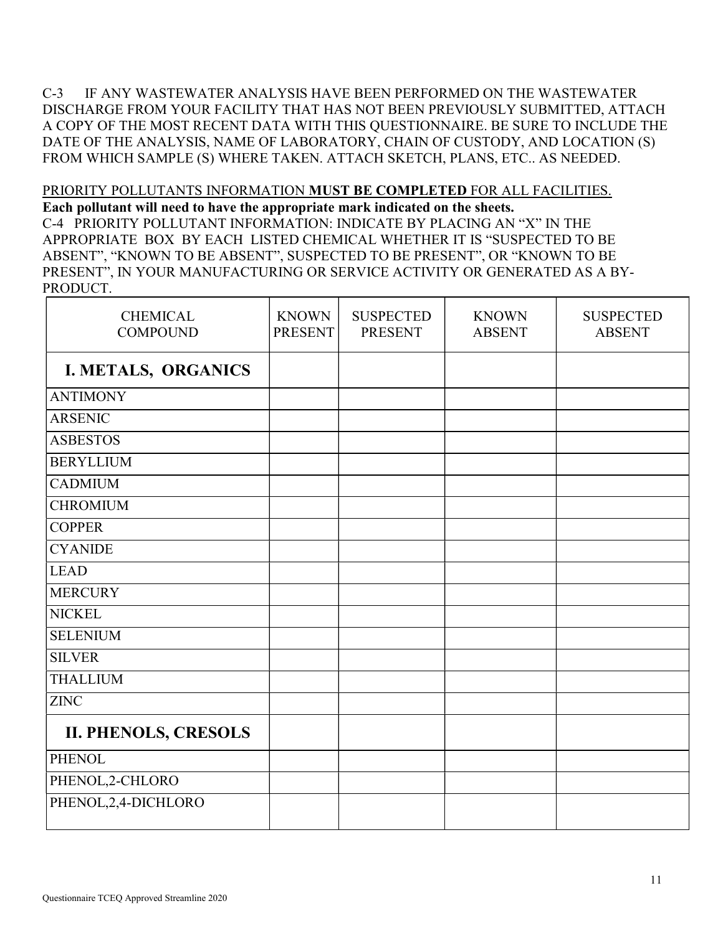C-3 IF ANY WASTEWATER ANALYSIS HAVE BEEN PERFORMED ON THE WASTEWATER DISCHARGE FROM YOUR FACILITY THAT HAS NOT BEEN PREVIOUSLY SUBMITTED, ATTACH A COPY OF THE MOST RECENT DATA WITH THIS QUESTIONNAIRE. BE SURE TO INCLUDE THE DATE OF THE ANALYSIS, NAME OF LABORATORY, CHAIN OF CUSTODY, AND LOCATION (S) FROM WHICH SAMPLE (S) WHERE TAKEN. ATTACH SKETCH, PLANS, ETC.. AS NEEDED.

# PRIORITY POLLUTANTS INFORMATION MUST BE COMPLETED FOR ALL FACILITIES.

Each pollutant will need to have the appropriate mark indicated on the sheets. C-4 PRIORITY POLLUTANT INFORMATION: INDICATE BY PLACING AN "X" IN THE APPROPRIATE BOX BY EACH LISTED CHEMICAL WHETHER IT IS "SUSPECTED TO BE ABSENT", "KNOWN TO BE ABSENT", SUSPECTED TO BE PRESENT", OR "KNOWN TO BE PRESENT", IN YOUR MANUFACTURING OR SERVICE ACTIVITY OR GENERATED AS A BY-PRODUCT.

| <b>CHEMICAL</b><br><b>COMPOUND</b> | <b>KNOWN</b><br><b>PRESENT</b> | <b>SUSPECTED</b><br><b>PRESENT</b> | <b>KNOWN</b><br><b>ABSENT</b> | <b>SUSPECTED</b><br><b>ABSENT</b> |
|------------------------------------|--------------------------------|------------------------------------|-------------------------------|-----------------------------------|
| I. METALS, ORGANICS                |                                |                                    |                               |                                   |
| <b>ANTIMONY</b>                    |                                |                                    |                               |                                   |
| <b>ARSENIC</b>                     |                                |                                    |                               |                                   |
| <b>ASBESTOS</b>                    |                                |                                    |                               |                                   |
| <b>BERYLLIUM</b>                   |                                |                                    |                               |                                   |
| <b>CADMIUM</b>                     |                                |                                    |                               |                                   |
| <b>CHROMIUM</b>                    |                                |                                    |                               |                                   |
| <b>COPPER</b>                      |                                |                                    |                               |                                   |
| <b>CYANIDE</b>                     |                                |                                    |                               |                                   |
| <b>LEAD</b>                        |                                |                                    |                               |                                   |
| <b>MERCURY</b>                     |                                |                                    |                               |                                   |
| <b>NICKEL</b>                      |                                |                                    |                               |                                   |
| <b>SELENIUM</b>                    |                                |                                    |                               |                                   |
| <b>SILVER</b>                      |                                |                                    |                               |                                   |
| <b>THALLIUM</b>                    |                                |                                    |                               |                                   |
| <b>ZINC</b>                        |                                |                                    |                               |                                   |
| <b>II. PHENOLS, CRESOLS</b>        |                                |                                    |                               |                                   |
| <b>PHENOL</b>                      |                                |                                    |                               |                                   |
| PHENOL,2-CHLORO                    |                                |                                    |                               |                                   |
| PHENOL, 2, 4-DICHLORO              |                                |                                    |                               |                                   |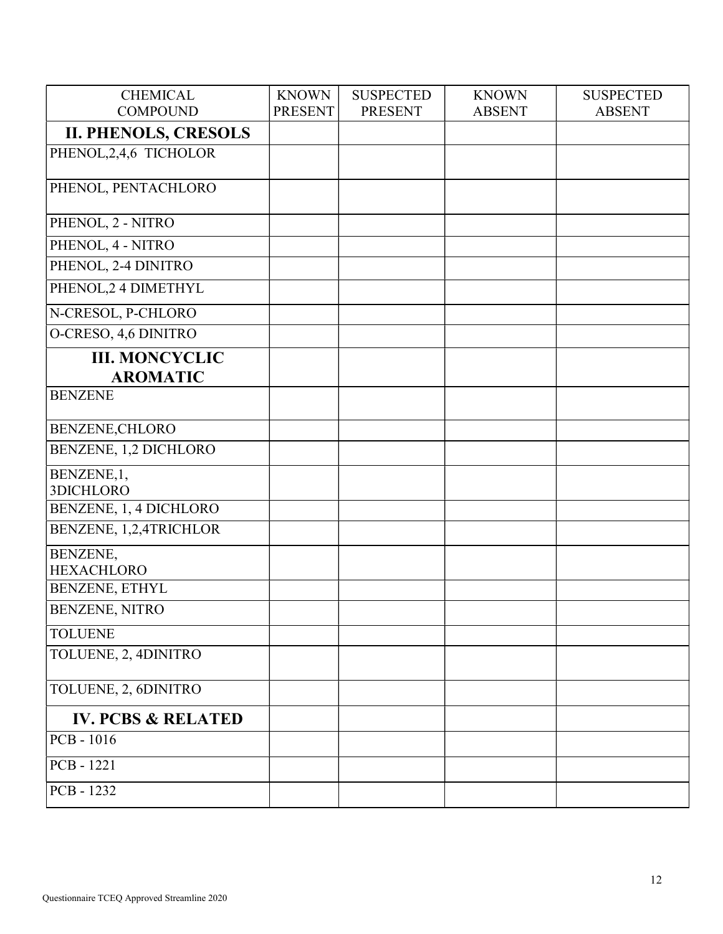| <b>CHEMICAL</b>               | <b>KNOWN</b>   | <b>SUSPECTED</b> | <b>KNOWN</b>  | <b>SUSPECTED</b> |
|-------------------------------|----------------|------------------|---------------|------------------|
| <b>COMPOUND</b>               | <b>PRESENT</b> | <b>PRESENT</b>   | <b>ABSENT</b> | <b>ABSENT</b>    |
| <b>II. PHENOLS, CRESOLS</b>   |                |                  |               |                  |
| PHENOL, 2, 4, 6 TICHOLOR      |                |                  |               |                  |
|                               |                |                  |               |                  |
| PHENOL, PENTACHLORO           |                |                  |               |                  |
| PHENOL, 2 - NITRO             |                |                  |               |                  |
| PHENOL, 4 - NITRO             |                |                  |               |                  |
| PHENOL, 2-4 DINITRO           |                |                  |               |                  |
| PHENOL, 2 4 DIMETHYL          |                |                  |               |                  |
| N-CRESOL, P-CHLORO            |                |                  |               |                  |
| O-CRESO, 4,6 DINITRO          |                |                  |               |                  |
| <b>III. MONCYCLIC</b>         |                |                  |               |                  |
| <b>AROMATIC</b>               |                |                  |               |                  |
| <b>BENZENE</b>                |                |                  |               |                  |
| BENZENE, CHLORO               |                |                  |               |                  |
| BENZENE, 1,2 DICHLORO         |                |                  |               |                  |
| BENZENE,1,                    |                |                  |               |                  |
| 3DICHLORO                     |                |                  |               |                  |
| BENZENE, 1, 4 DICHLORO        |                |                  |               |                  |
| BENZENE, 1,2,4TRICHLOR        |                |                  |               |                  |
| BENZENE,                      |                |                  |               |                  |
| <b>HEXACHLORO</b>             |                |                  |               |                  |
| BENZENE, ETHYL                |                |                  |               |                  |
| <b>BENZENE, NITRO</b>         |                |                  |               |                  |
| <b>TOLUENE</b>                |                |                  |               |                  |
| TOLUENE, 2, 4DINITRO          |                |                  |               |                  |
| TOLUENE, 2, 6DINITRO          |                |                  |               |                  |
| <b>IV. PCBS &amp; RELATED</b> |                |                  |               |                  |
| PCB - 1016                    |                |                  |               |                  |
| PCB-1221                      |                |                  |               |                  |
| PCB - 1232                    |                |                  |               |                  |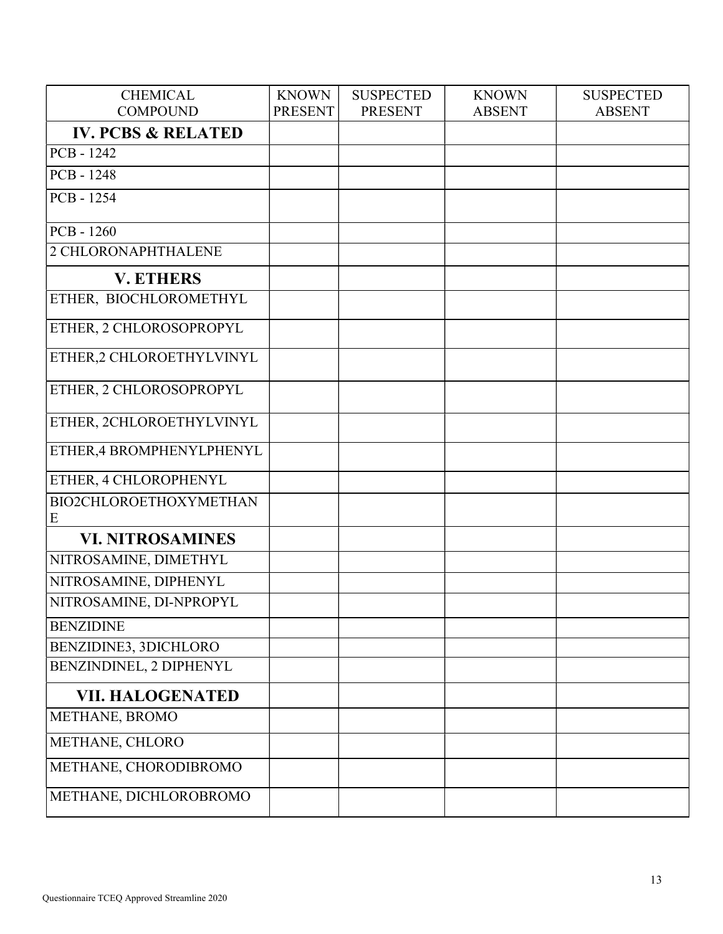| <b>CHEMICAL</b>               | <b>KNOWN</b>   | <b>SUSPECTED</b> | <b>KNOWN</b>  | <b>SUSPECTED</b> |
|-------------------------------|----------------|------------------|---------------|------------------|
| <b>COMPOUND</b>               | <b>PRESENT</b> | <b>PRESENT</b>   | <b>ABSENT</b> | <b>ABSENT</b>    |
| <b>IV. PCBS &amp; RELATED</b> |                |                  |               |                  |
| PCB - 1242                    |                |                  |               |                  |
| PCB - 1248                    |                |                  |               |                  |
| PCB - 1254                    |                |                  |               |                  |
| PCB - 1260                    |                |                  |               |                  |
| 2 CHLORONAPHTHALENE           |                |                  |               |                  |
| <b>V. ETHERS</b>              |                |                  |               |                  |
| ETHER, BIOCHLOROMETHYL        |                |                  |               |                  |
| ETHER, 2 CHLOROSOPROPYL       |                |                  |               |                  |
| ETHER,2 CHLOROETHYLVINYL      |                |                  |               |                  |
| ETHER, 2 CHLOROSOPROPYL       |                |                  |               |                  |
| ETHER, 2CHLOROETHYLVINYL      |                |                  |               |                  |
| ETHER, 4 BROMPHENYLPHENYL     |                |                  |               |                  |
| ETHER, 4 CHLOROPHENYL         |                |                  |               |                  |
| BIO2CHLOROETHOXYMETHAN<br>E   |                |                  |               |                  |
| <b>VI. NITROSAMINES</b>       |                |                  |               |                  |
| NITROSAMINE, DIMETHYL         |                |                  |               |                  |
| NITROSAMINE, DIPHENYL         |                |                  |               |                  |
| NITROSAMINE, DI-NPROPYL       |                |                  |               |                  |
| <b>BENZIDINE</b>              |                |                  |               |                  |
| BENZIDINE3, 3DICHLORO         |                |                  |               |                  |
| BENZINDINEL, 2 DIPHENYL       |                |                  |               |                  |
| <b>VII. HALOGENATED</b>       |                |                  |               |                  |
| METHANE, BROMO                |                |                  |               |                  |
| METHANE, CHLORO               |                |                  |               |                  |
| METHANE, CHORODIBROMO         |                |                  |               |                  |
| METHANE, DICHLOROBROMO        |                |                  |               |                  |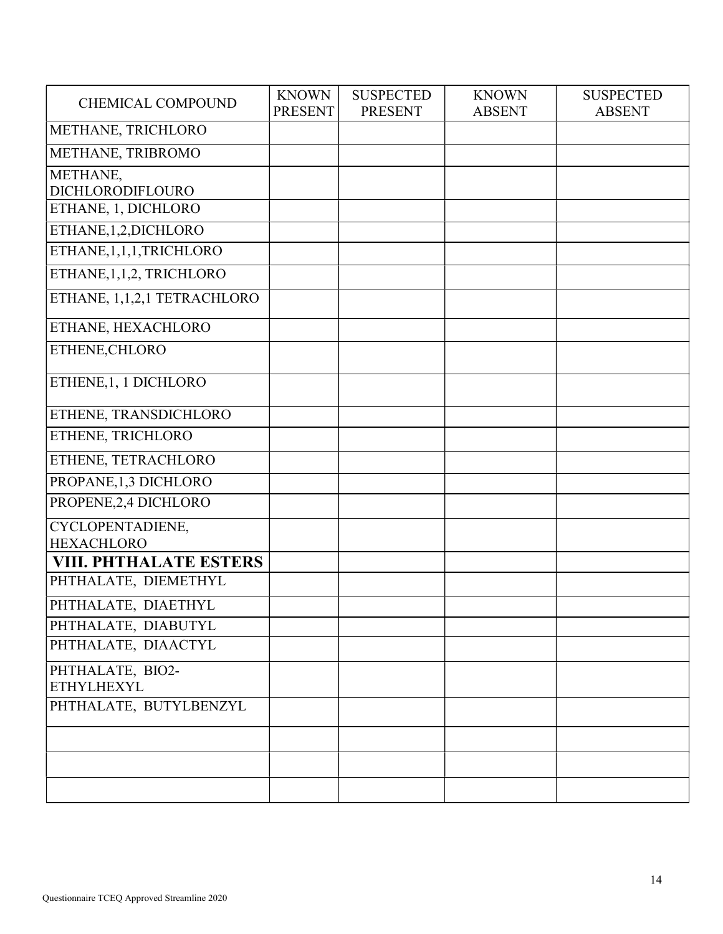| <b>CHEMICAL COMPOUND</b>              | <b>KNOWN</b><br><b>PRESENT</b> | <b>SUSPECTED</b><br><b>PRESENT</b> | <b>KNOWN</b><br><b>ABSENT</b> | <b>SUSPECTED</b><br><b>ABSENT</b> |
|---------------------------------------|--------------------------------|------------------------------------|-------------------------------|-----------------------------------|
| METHANE, TRICHLORO                    |                                |                                    |                               |                                   |
| METHANE, TRIBROMO                     |                                |                                    |                               |                                   |
| METHANE,<br>DICHLORODIFLOURO          |                                |                                    |                               |                                   |
| ETHANE, 1, DICHLORO                   |                                |                                    |                               |                                   |
| ETHANE, 1, 2, DICHLORO                |                                |                                    |                               |                                   |
| ETHANE, 1, 1, 1, TRICHLORO            |                                |                                    |                               |                                   |
| ETHANE, 1, 1, 2, TRICHLORO            |                                |                                    |                               |                                   |
| ETHANE, 1,1,2,1 TETRACHLORO           |                                |                                    |                               |                                   |
| ETHANE, HEXACHLORO                    |                                |                                    |                               |                                   |
| ETHENE, CHLORO                        |                                |                                    |                               |                                   |
| ETHENE, 1, 1 DICHLORO                 |                                |                                    |                               |                                   |
| <b>ETHENE, TRANSDICHLORO</b>          |                                |                                    |                               |                                   |
| ETHENE, TRICHLORO                     |                                |                                    |                               |                                   |
| ETHENE, TETRACHLORO                   |                                |                                    |                               |                                   |
| PROPANE, 1,3 DICHLORO                 |                                |                                    |                               |                                   |
| PROPENE, 2,4 DICHLORO                 |                                |                                    |                               |                                   |
| CYCLOPENTADIENE,<br><b>HEXACHLORO</b> |                                |                                    |                               |                                   |
| <b>VIII. PHTHALATE ESTERS</b>         |                                |                                    |                               |                                   |
| PHTHALATE, DIEMETHYL                  |                                |                                    |                               |                                   |
| PHTHALATE, DIAETHYL                   |                                |                                    |                               |                                   |
| PHTHALATE, DIABUTYL                   |                                |                                    |                               |                                   |
| PHTHALATE, DIAACTYL                   |                                |                                    |                               |                                   |
| PHTHALATE, BIO2-<br><b>ETHYLHEXYL</b> |                                |                                    |                               |                                   |
| PHTHALATE, BUTYLBENZYL                |                                |                                    |                               |                                   |
|                                       |                                |                                    |                               |                                   |
|                                       |                                |                                    |                               |                                   |
|                                       |                                |                                    |                               |                                   |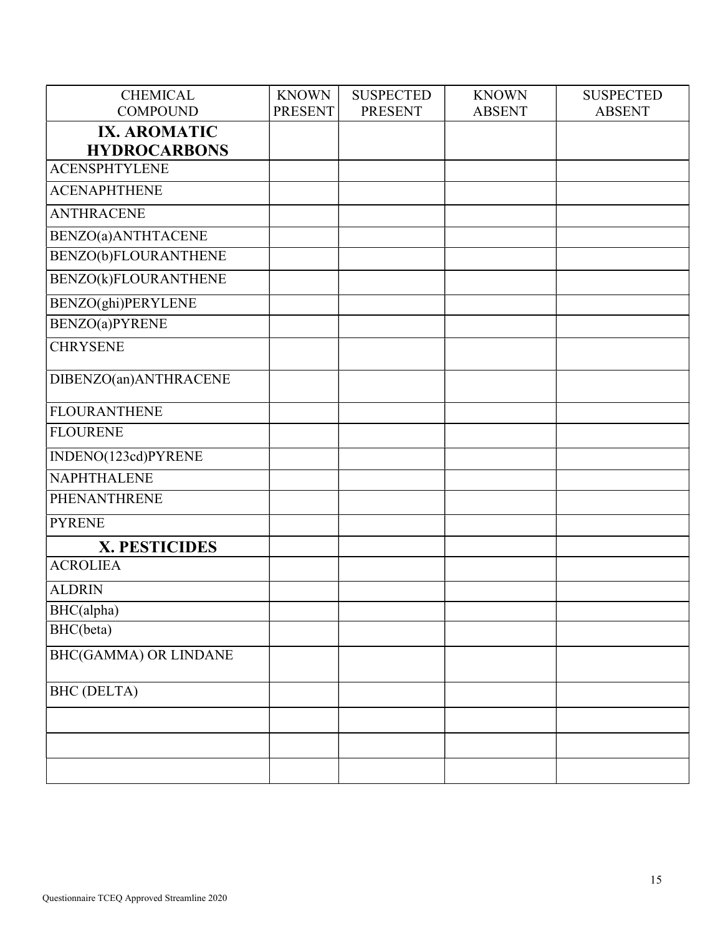| <b>CHEMICAL</b>              | <b>KNOWN</b>   | <b>SUSPECTED</b> | <b>KNOWN</b>  | <b>SUSPECTED</b> |
|------------------------------|----------------|------------------|---------------|------------------|
| <b>COMPOUND</b>              | <b>PRESENT</b> | <b>PRESENT</b>   | <b>ABSENT</b> | <b>ABSENT</b>    |
| <b>IX. AROMATIC</b>          |                |                  |               |                  |
| <b>HYDROCARBONS</b>          |                |                  |               |                  |
| <b>ACENSPHTYLENE</b>         |                |                  |               |                  |
| <b>ACENAPHTHENE</b>          |                |                  |               |                  |
| <b>ANTHRACENE</b>            |                |                  |               |                  |
| BENZO(a) ANTHTACENE          |                |                  |               |                  |
| BENZO(b)FLOURANTHENE         |                |                  |               |                  |
| BENZO(k)FLOURANTHENE         |                |                  |               |                  |
| BENZO(ghi)PERYLENE           |                |                  |               |                  |
| BENZO(a)PYRENE               |                |                  |               |                  |
| <b>CHRYSENE</b>              |                |                  |               |                  |
| DIBENZO(an)ANTHRACENE        |                |                  |               |                  |
| <b>FLOURANTHENE</b>          |                |                  |               |                  |
| <b>FLOURENE</b>              |                |                  |               |                  |
| INDENO(123cd)PYRENE          |                |                  |               |                  |
| <b>NAPHTHALENE</b>           |                |                  |               |                  |
| PHENANTHRENE                 |                |                  |               |                  |
| <b>PYRENE</b>                |                |                  |               |                  |
| X. PESTICIDES                |                |                  |               |                  |
| <b>ACROLIEA</b>              |                |                  |               |                  |
| <b>ALDRIN</b>                |                |                  |               |                  |
| BHC(alpha)                   |                |                  |               |                  |
| BHC(beta)                    |                |                  |               |                  |
| <b>BHC(GAMMA) OR LINDANE</b> |                |                  |               |                  |
| <b>BHC</b> (DELTA)           |                |                  |               |                  |
|                              |                |                  |               |                  |
|                              |                |                  |               |                  |
|                              |                |                  |               |                  |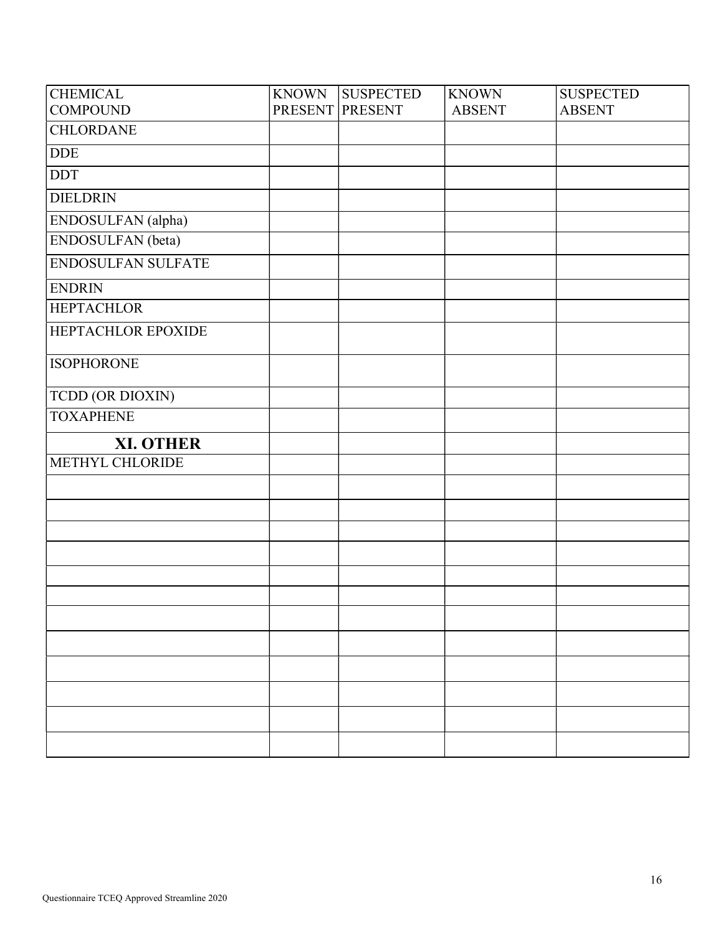| <b>CHEMICAL</b>    | <b>KNOWN</b> | <b>SUSPECTED</b> | <b>KNOWN</b>  | <b>SUSPECTED</b> |
|--------------------|--------------|------------------|---------------|------------------|
| <b>COMPOUND</b>    |              | PRESENT PRESENT  | <b>ABSENT</b> | <b>ABSENT</b>    |
| <b>CHLORDANE</b>   |              |                  |               |                  |
| <b>DDE</b>         |              |                  |               |                  |
| <b>DDT</b>         |              |                  |               |                  |
| <b>DIELDRIN</b>    |              |                  |               |                  |
| ENDOSULFAN (alpha) |              |                  |               |                  |
| ENDOSULFAN (beta)  |              |                  |               |                  |
| ENDOSULFAN SULFATE |              |                  |               |                  |
| <b>ENDRIN</b>      |              |                  |               |                  |
| <b>HEPTACHLOR</b>  |              |                  |               |                  |
| HEPTACHLOR EPOXIDE |              |                  |               |                  |
| <b>ISOPHORONE</b>  |              |                  |               |                  |
| TCDD (OR DIOXIN)   |              |                  |               |                  |
| <b>TOXAPHENE</b>   |              |                  |               |                  |
| <b>XI. OTHER</b>   |              |                  |               |                  |
| METHYL CHLORIDE    |              |                  |               |                  |
|                    |              |                  |               |                  |
|                    |              |                  |               |                  |
|                    |              |                  |               |                  |
|                    |              |                  |               |                  |
|                    |              |                  |               |                  |
|                    |              |                  |               |                  |
|                    |              |                  |               |                  |
|                    |              |                  |               |                  |
|                    |              |                  |               |                  |
|                    |              |                  |               |                  |
|                    |              |                  |               |                  |
|                    |              |                  |               |                  |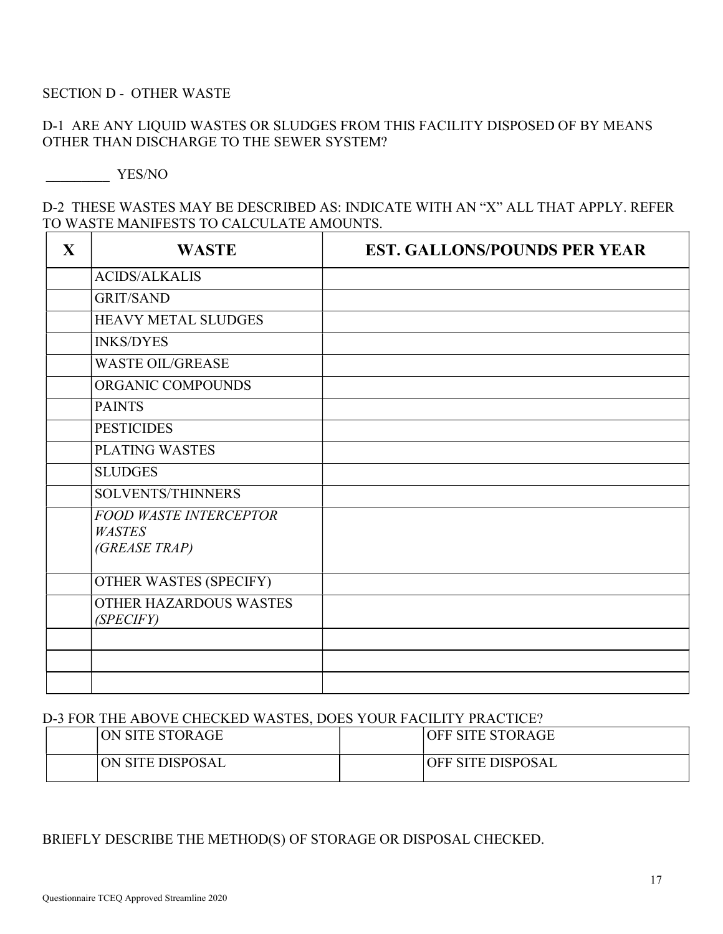#### SECTION **D** - OTHER WASTE

## D-1 ARE ANY LIQUID WASTES OR SLUDGES FROM THIS FACILITY DISPOSED OF BY MEANS OTHER THAN DISCHARGE TO THE SEWER SYSTEM?

YES/NO

#### D-2 THESE WASTES MAY BE DESCRIBED AS: INDICATE WITH AN "X" ALL THAT APPLY. REFER TO WASTE MANIFESTS TO CALCULATE AMOUNTS.

| X | <b>WASTE</b>                                                    | <b>EST. GALLONS/POUNDS PER YEAR</b> |
|---|-----------------------------------------------------------------|-------------------------------------|
|   | <b>ACIDS/ALKALIS</b>                                            |                                     |
|   | <b>GRIT/SAND</b>                                                |                                     |
|   | <b>HEAVY METAL SLUDGES</b>                                      |                                     |
|   | <b>INKS/DYES</b>                                                |                                     |
|   | <b>WASTE OIL/GREASE</b>                                         |                                     |
|   | ORGANIC COMPOUNDS                                               |                                     |
|   | <b>PAINTS</b>                                                   |                                     |
|   | <b>PESTICIDES</b>                                               |                                     |
|   | <b>PLATING WASTES</b>                                           |                                     |
|   | <b>SLUDGES</b>                                                  |                                     |
|   | SOLVENTS/THINNERS                                               |                                     |
|   | <b>FOOD WASTE INTERCEPTOR</b><br><b>WASTES</b><br>(GREASE TRAP) |                                     |
|   | OTHER WASTES (SPECIFY)                                          |                                     |
|   | OTHER HAZARDOUS WASTES<br><i>(SPECIFY)</i>                      |                                     |
|   |                                                                 |                                     |
|   |                                                                 |                                     |
|   |                                                                 |                                     |

#### D-3 FOR THE ABOVE CHECKED WASTES, DOES YOUR FACILITY PRACTICE?

| ON SITE STORAGE  | OFF SITE STORAGE         |
|------------------|--------------------------|
| ON SITE DISPOSAL | <b>OFF SITE DISPOSAL</b> |

#### BRIEFLY DESCRIBE THE METHOD(S) OF STORAGE OR DISPOSAL CHECKED.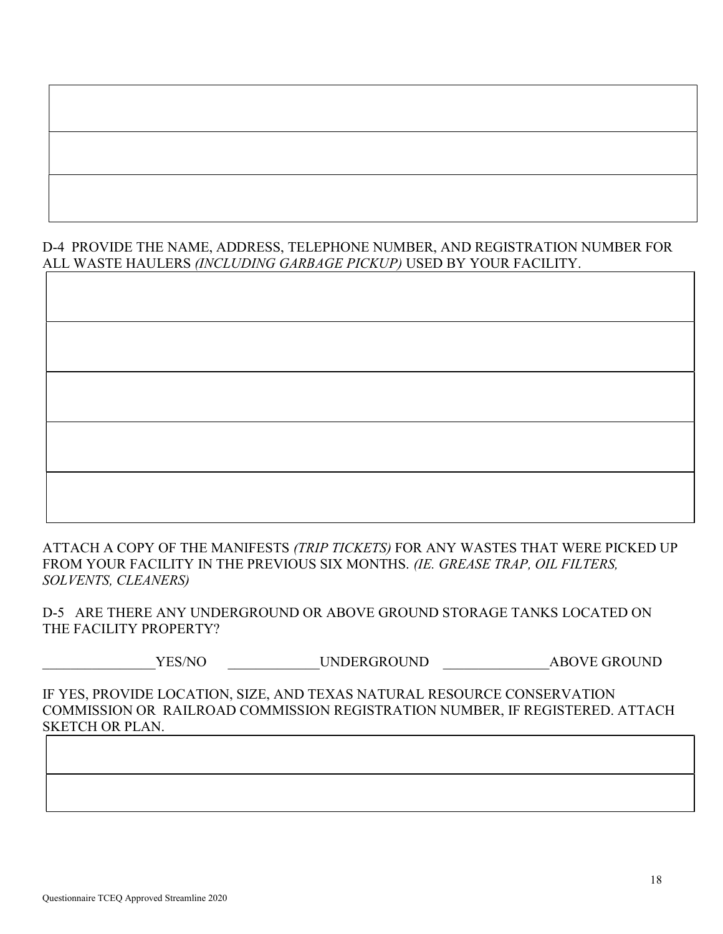## D-4 PROVIDE THE NAME, ADDRESS, TELEPHONE NUMBER, AND REGISTRATION NUMBER FOR ALL WASTE HAULERS (INCLUDING GARBAGE PICKUP) USED BY YOUR FACILITY.

ATTACH A COPY OF THE MANIFESTS (TRIP TICKETS) FOR ANY WASTES THAT WERE PICKED UP FROM YOUR FACILITY IN THE PREVIOUS SIX MONTHS. (IE. GREASE TRAP, OIL FILTERS, SOLVENTS, CLEANERS)

D-5 ARE THERE ANY UNDERGROUND OR ABOVE GROUND STORAGE TANKS LOCATED ON THE FACILITY PROPERTY?

YES/NO UNDERGROUND ABOVE GROUND

IF YES, PROVIDE LOCATION, SIZE, AND TEXAS NATURAL RESOURCE CONSERVATION COMMISSION OR RAILROAD COMMISSION REGISTRATION NUMBER, IF REGISTERED. ATTACH SKETCH OR PLAN.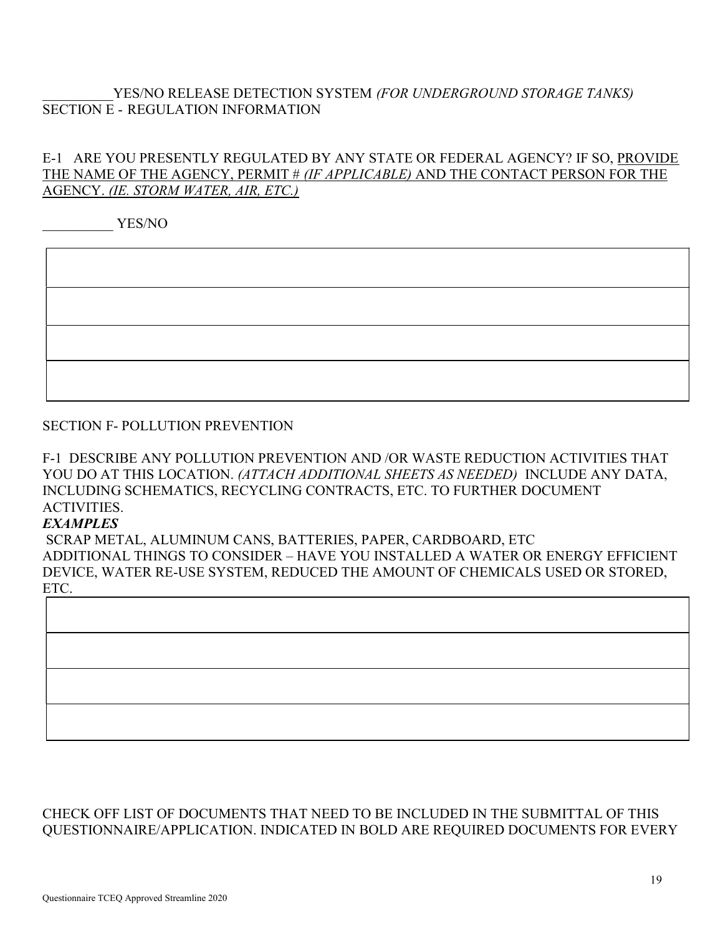## YES/NO RELEASE DETECTION SYSTEM (FOR UNDERGROUND STORAGE TANKS) SECTION E - REGULATION INFORMATION

## E-1 ARE YOU PRESENTLY REGULATED BY ANY STATE OR FEDERAL AGENCY? IF SO, PROVIDE THE NAME OF THE AGENCY, PERMIT # (IF APPLICABLE) AND THE CONTACT PERSON FOR THE AGENCY. (IE. STORM WATER, AIR, ETC.)

YES/NO

#### SECTION F- POLLUTION PREVENTION

F-1 DESCRIBE ANY POLLUTION PREVENTION AND /OR WASTE REDUCTION ACTIVITIES THAT YOU DO AT THIS LOCATION. (ATTACH ADDITIONAL SHEETS AS NEEDED) INCLUDE ANY DATA, INCLUDING SCHEMATICS, RECYCLING CONTRACTS, ETC. TO FURTHER DOCUMENT ACTIVITIES.

#### **EXAMPLES**

SCRAP METAL, ALUMINUM CANS, BATTERIES, PAPER, CARDBOARD, ETC ADDITIONAL THINGS TO CONSIDER – HAVE YOU INSTALLED A WATER OR ENERGY EFFICIENT DEVICE, WATER RE-USE SYSTEM, REDUCED THE AMOUNT OF CHEMICALS USED OR STORED, ETC.



## CHECK OFF LIST OF DOCUMENTS THAT NEED TO BE INCLUDED IN THE SUBMITTAL OF THIS QUESTIONNAIRE/APPLICATION. INDICATED IN BOLD ARE REQUIRED DOCUMENTS FOR EVERY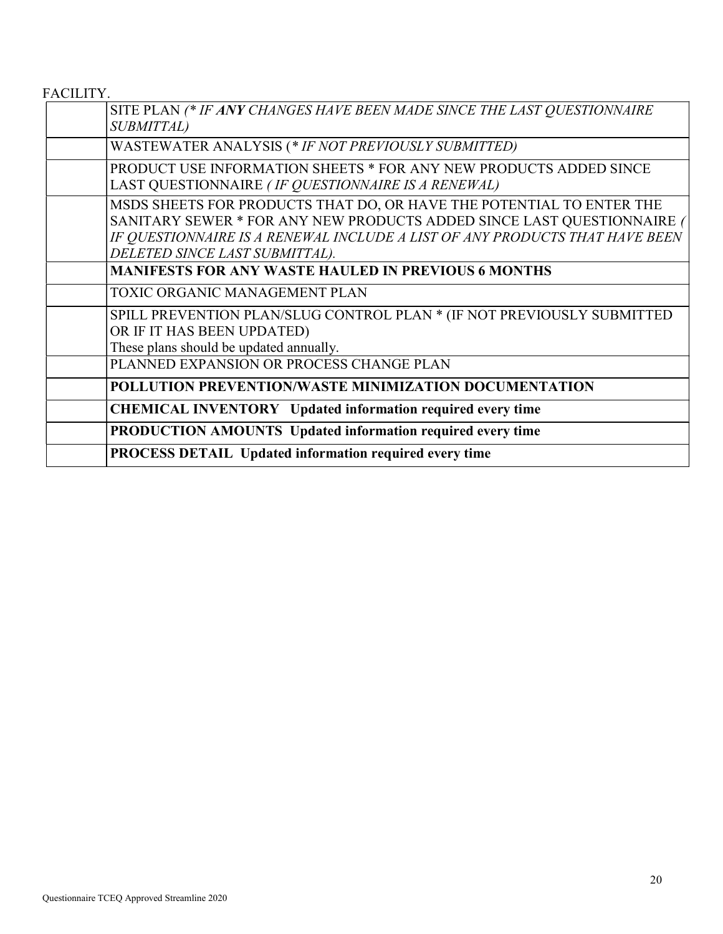FACILITY.

| SITE PLAN (* IF ANY CHANGES HAVE BEEN MADE SINCE THE LAST QUESTIONNAIRE<br><b>SUBMITTAL</b> )                                                                                                                                                                   |
|-----------------------------------------------------------------------------------------------------------------------------------------------------------------------------------------------------------------------------------------------------------------|
| WASTEWATER ANALYSIS (* IF NOT PREVIOUSLY SUBMITTED)                                                                                                                                                                                                             |
| PRODUCT USE INFORMATION SHEETS * FOR ANY NEW PRODUCTS ADDED SINCE<br>LAST QUESTIONNAIRE (IF QUESTIONNAIRE IS A RENEWAL)                                                                                                                                         |
| MSDS SHEETS FOR PRODUCTS THAT DO, OR HAVE THE POTENTIAL TO ENTER THE<br>SANITARY SEWER * FOR ANY NEW PRODUCTS ADDED SINCE LAST QUESTIONNAIRE (<br>IF QUESTIONNAIRE IS A RENEWAL INCLUDE A LIST OF ANY PRODUCTS THAT HAVE BEEN<br>DELETED SINCE LAST SUBMITTAL). |
| <b>MANIFESTS FOR ANY WASTE HAULED IN PREVIOUS 6 MONTHS</b>                                                                                                                                                                                                      |
| TOXIC ORGANIC MANAGEMENT PLAN                                                                                                                                                                                                                                   |
| SPILL PREVENTION PLAN/SLUG CONTROL PLAN * (IF NOT PREVIOUSLY SUBMITTED<br>OR IF IT HAS BEEN UPDATED)<br>These plans should be updated annually.                                                                                                                 |
| PLANNED EXPANSION OR PROCESS CHANGE PLAN                                                                                                                                                                                                                        |
| POLLUTION PREVENTION/WASTE MINIMIZATION DOCUMENTATION                                                                                                                                                                                                           |
| <b>CHEMICAL INVENTORY</b> Updated information required every time                                                                                                                                                                                               |
| <b>PRODUCTION AMOUNTS Updated information required every time</b>                                                                                                                                                                                               |
| PROCESS DETAIL Updated information required every time                                                                                                                                                                                                          |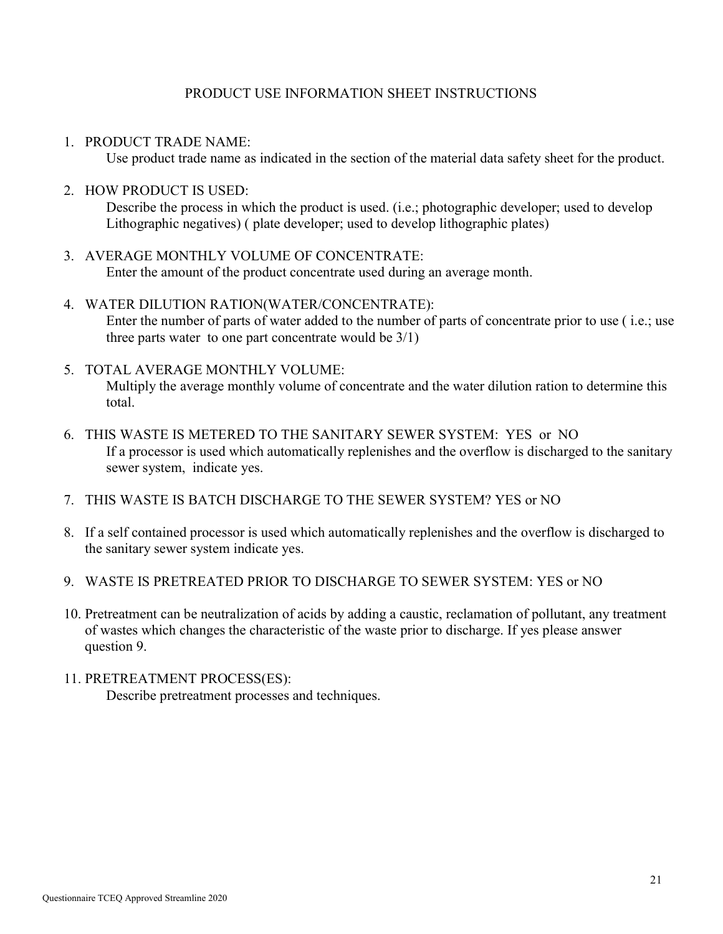#### PRODUCT USE INFORMATION SHEET INSTRUCTIONS

1. PRODUCT TRADE NAME:

Use product trade name as indicated in the section of the material data safety sheet for the product.

2. HOW PRODUCT IS USED:

Describe the process in which the product is used. (i.e.; photographic developer; used to develop Lithographic negatives) ( plate developer; used to develop lithographic plates)

- 3. AVERAGE MONTHLY VOLUME OF CONCENTRATE: Enter the amount of the product concentrate used during an average month.
- 4. WATER DILUTION RATION(WATER/CONCENTRATE): Enter the number of parts of water added to the number of parts of concentrate prior to use ( i.e.; use three parts water to one part concentrate would be  $3/1$ )
- 5. TOTAL AVERAGE MONTHLY VOLUME: Multiply the average monthly volume of concentrate and the water dilution ration to determine this total.
- 6. THIS WASTE IS METERED TO THE SANITARY SEWER SYSTEM: YES or NO If a processor is used which automatically replenishes and the overflow is discharged to the sanitary sewer system, indicate yes.
- 7. THIS WASTE IS BATCH DISCHARGE TO THE SEWER SYSTEM? YES or NO
- 8. If a self contained processor is used which automatically replenishes and the overflow is discharged to the sanitary sewer system indicate yes.
- 9. WASTE IS PRETREATED PRIOR TO DISCHARGE TO SEWER SYSTEM: YES or NO
- 10. Pretreatment can be neutralization of acids by adding a caustic, reclamation of pollutant, any treatment of wastes which changes the characteristic of the waste prior to discharge. If yes please answer question 9.
- 11. PRETREATMENT PROCESS(ES): Describe pretreatment processes and techniques.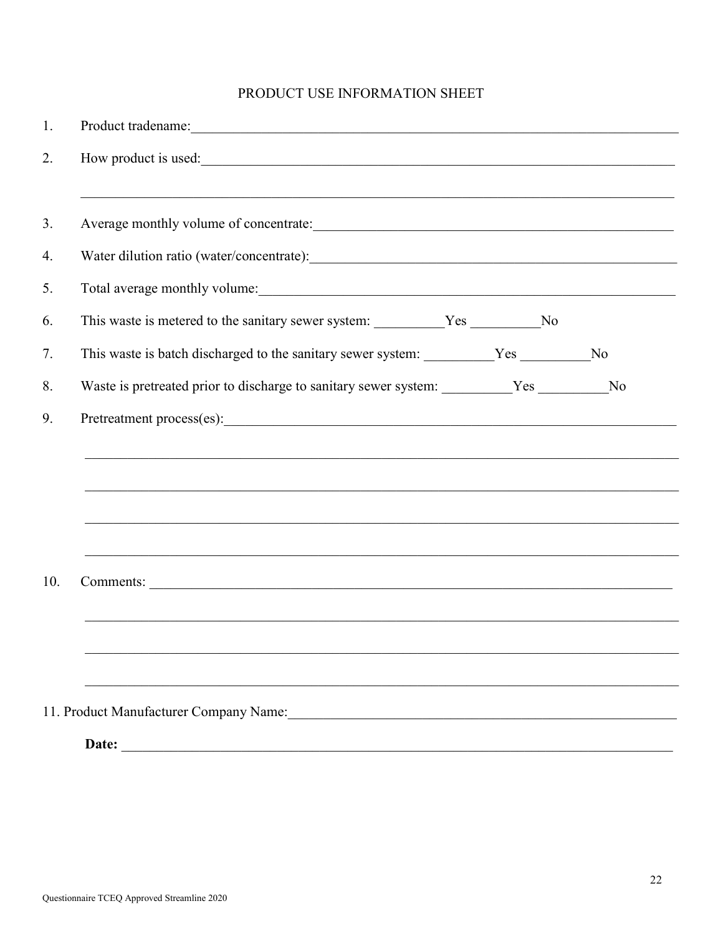# PRODUCT USE INFORMATION SHEET

| Product tradename: Note of the contract of the contract of the contract of the contract of the contract of the contract of the contract of the contract of the contract of the contract of the contract of the contract of the |
|--------------------------------------------------------------------------------------------------------------------------------------------------------------------------------------------------------------------------------|
| How product is used:                                                                                                                                                                                                           |
|                                                                                                                                                                                                                                |
| Water dilution ratio (water/concentrate):                                                                                                                                                                                      |
| Total average monthly volume:                                                                                                                                                                                                  |
| This waste is metered to the sanitary sewer system: __________Yes ___________No                                                                                                                                                |
| This waste is batch discharged to the sanitary sewer system: _________Yes _________No                                                                                                                                          |
| Waste is pretreated prior to discharge to sanitary sewer system: ________Yes ________No                                                                                                                                        |
| Pretreatment process(es):                                                                                                                                                                                                      |
|                                                                                                                                                                                                                                |
|                                                                                                                                                                                                                                |
|                                                                                                                                                                                                                                |
|                                                                                                                                                                                                                                |
|                                                                                                                                                                                                                                |
|                                                                                                                                                                                                                                |
|                                                                                                                                                                                                                                |
| 11. Product Manufacturer Company Name:                                                                                                                                                                                         |
| Date:                                                                                                                                                                                                                          |